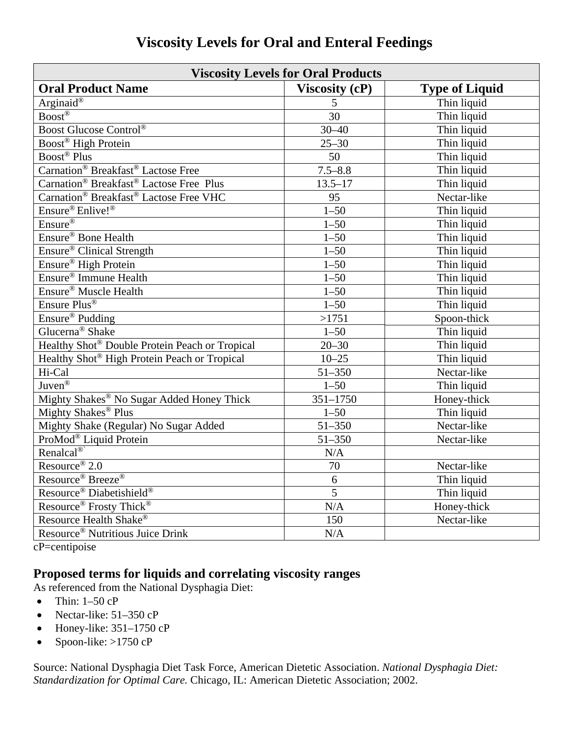| <b>Viscosity Levels for Oral Products</b>                       |                |                       |  |
|-----------------------------------------------------------------|----------------|-----------------------|--|
| <b>Oral Product Name</b>                                        | Viscosity (cP) | <b>Type of Liquid</b> |  |
| Arginaid®                                                       | 5              | Thin liquid           |  |
| $\overline{Boost}$ <sup>®</sup>                                 | 30             | Thin liquid           |  |
| Boost Glucose Control®                                          | $30 - 40$      | Thin liquid           |  |
| Boost <sup>®</sup> High Protein                                 | $25 - 30$      | Thin liquid           |  |
| Boost <sup>®</sup> Plus                                         | 50             | Thin liquid           |  |
| Carnation <sup>®</sup> Breakfast <sup>®</sup> Lactose Free      | $7.5 - 8.8$    | Thin liquid           |  |
| Carnation <sup>®</sup> Breakfast <sup>®</sup> Lactose Free Plus | $13.5 - 17$    | Thin liquid           |  |
| Carnation <sup>®</sup> Breakfast <sup>®</sup> Lactose Free VHC  | 95             | Nectar-like           |  |
| Ensure <sup>®</sup> Enlive!®                                    | $1 - 50$       | Thin liquid           |  |
| Ensure <sup>®</sup>                                             | $1 - 50$       | Thin liquid           |  |
| Ensure <sup>®</sup> Bone Health                                 | $1 - 50$       | Thin liquid           |  |
| Ensure® Clinical Strength                                       | $1 - 50$       | Thin liquid           |  |
| Ensure <sup>®</sup> High Protein                                | $1 - 50$       | Thin liquid           |  |
| Ensure <sup>®</sup> Immune Health                               | $1 - 50$       | Thin liquid           |  |
| Ensure <sup>®</sup> Muscle Health                               | $1 - 50$       | Thin liquid           |  |
| Ensure Plus <sup>®</sup>                                        | $1 - 50$       | Thin liquid           |  |
| Ensure <sup>®</sup> Pudding                                     | >1751          | Spoon-thick           |  |
| Glucerna <sup>®</sup> Shake                                     | $1 - 50$       | Thin liquid           |  |
| Healthy Shot® Double Protein Peach or Tropical                  | $20 - 30$      | Thin liquid           |  |
| Healthy Shot <sup>®</sup> High Protein Peach or Tropical        | $10 - 25$      | Thin liquid           |  |
| Hi-Cal                                                          | $51 - 350$     | Nectar-like           |  |
| Juven $\overline{\mathbb{B}}$                                   | $1 - 50$       | Thin liquid           |  |
| Mighty Shakes® No Sugar Added Honey Thick                       | $351 - 1750$   | Honey-thick           |  |
| Mighty Shakes <sup>®</sup> Plus                                 | $1 - 50$       | Thin liquid           |  |
| Mighty Shake (Regular) No Sugar Added                           | $51 - 350$     | Nectar-like           |  |
| ProMod® Liquid Protein                                          | $51 - 350$     | Nectar-like           |  |
| Renalcal <sup>®</sup>                                           | N/A            |                       |  |
| Resource <sup>®</sup> 2.0                                       | 70             | Nectar-like           |  |
| Resource <sup>®</sup> Breeze <sup>®</sup>                       | 6              | Thin liquid           |  |
| Resource® Diabetishield®                                        | $\overline{5}$ | Thin liquid           |  |
| Resource <sup>®</sup> Frosty Thick <sup>®</sup>                 | N/A            | Honey-thick           |  |
| Resource Health Shake®                                          | 150            | Nectar-like           |  |
| Resource <sup>®</sup> Nutritious Juice Drink                    | N/A            |                       |  |

## **Viscosity Levels for Oral and Enteral Feedings**

cP=centipoise

## **Proposed terms for liquids and correlating viscosity ranges**

As referenced from the National Dysphagia Diet:

- $\bullet$  Thin: 1–50 cP
- Nectar-like:  $51-350$  cP
- $\bullet$  Honey-like: 351–1750 cP
- Spoon-like:  $>1750$  cP

Source: National Dysphagia Diet Task Force, American Dietetic Association. *National Dysphagia Diet: Standardization for Optimal Care.* Chicago, IL: American Dietetic Association; 2002.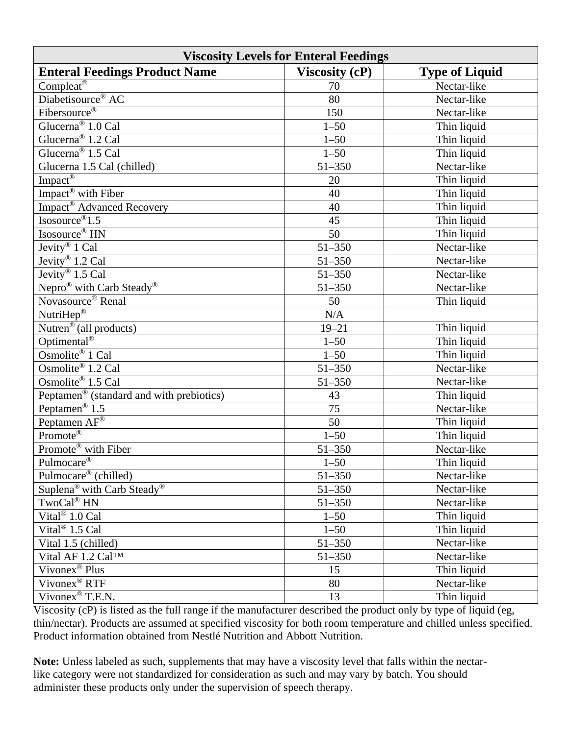| <b>Viscosity Levels for Enteral Feedings</b>         |                       |                       |  |
|------------------------------------------------------|-----------------------|-----------------------|--|
| <b>Enteral Feedings Product Name</b>                 | <b>Viscosity (cP)</b> | <b>Type of Liquid</b> |  |
| Compleat <sup>®</sup>                                | 70                    | Nectar-like           |  |
| Diabetisource <sup>®</sup> AC                        | 80                    | Nectar-like           |  |
| Fibersource <sup>®</sup>                             | 150                   | Nectar-like           |  |
| Glucerna <sup>®</sup> 1.0 Cal                        | $1 - 50$              | Thin liquid           |  |
| Glucerna <sup>®</sup> 1.2 Cal                        | $1 - 50$              | Thin liquid           |  |
| Glucerna <sup>®</sup> 1.5 Cal                        | $1 - 50$              | Thin liquid           |  |
| Glucerna 1.5 Cal (chilled)                           | 51-350                | Nectar-like           |  |
| Impact <sup>®</sup>                                  | 20                    | Thin liquid           |  |
| Impact <sup>®</sup> with Fiber                       | 40                    | Thin liquid           |  |
| Impact® Advanced Recovery                            | 40                    | Thin liquid           |  |
| Isosource <sup>®</sup> $1.5$                         | 45                    | Thin liquid           |  |
| Isosource <sup>®</sup> HN                            | 50                    | Thin liquid           |  |
| Jevity® 1 Cal                                        | 51-350                | Nectar-like           |  |
| Jevity® 1.2 Cal                                      | 51-350                | Nectar-like           |  |
| Jevity <sup>®</sup> 1.5 Cal                          | $51 - 350$            | Nectar-like           |  |
| Nepro <sup>®</sup> with Carb Steady <sup>®</sup>     | $51 - 350$            | Nectar-like           |  |
| Novasource <sup>®</sup> Renal                        | 50                    | Thin liquid           |  |
| NutriHep®                                            | $\rm N/A$             |                       |  |
| Nutren® (all products)                               | $19 - 21$             | Thin liquid           |  |
| Optimental <sup>®</sup>                              | $1 - 50$              | Thin liquid           |  |
| Osmolite <sup>®</sup> 1 Cal                          | $1 - 50$              | Thin liquid           |  |
| Osmolite® 1.2 Cal                                    | $51 - 350$            | Nectar-like           |  |
| Osmolite <sup>®</sup> 1.5 Cal                        | 51-350                | Nectar-like           |  |
| Peptamen <sup>®</sup> (standard and with prebiotics) | 43                    | Thin liquid           |  |
| Peptamen <sup>®</sup> $1.5$                          | 75                    | Nectar-like           |  |
| Peptamen AF <sup>®</sup>                             | 50                    | Thin liquid           |  |
| Promote <sup>®</sup>                                 | $1 - 50$              | Thin liquid           |  |
| Promote <sup>®</sup> with Fiber                      | $51 - 350$            | Nectar-like           |  |
| Pulmocare <sup>®</sup>                               | $1 - 50$              | Thin liquid           |  |
| Pulmocare® (chilled)                                 | $51 - 350$            | Nectar-like           |  |
| Suplena <sup>®</sup> with Carb Steady <sup>®</sup>   | $51 - 350$            | Nectar-like           |  |
| TwoCal <sup>®</sup> HN                               | $51 - 350$            | Nectar-like           |  |
| Vital <sup>®</sup> 1.0 Cal                           | $1 - 50$              | Thin liquid           |  |
| Vital <sup>®</sup> 1.5 Cal                           | $1 - 50$              | Thin liquid           |  |
| Vital 1.5 (chilled)                                  | 51-350                | Nectar-like           |  |
| Vital AF 1.2 Cal™                                    | 51-350                | Nectar-like           |  |
| Vivonex <sup>®</sup> Plus                            | 15                    | Thin liquid           |  |
| Vivonex <sup>®</sup> RTF                             | 80                    | Nectar-like           |  |
| Vivonex <sup>®</sup> T.E.N.                          | 13                    | Thin liquid           |  |

Viscosity (cP) is listed as the full range if the manufacturer described the product only by type of liquid (eg, thin/nectar). Products are assumed at specified viscosity for both room temperature and chilled unless specified. Product information obtained from Nestlé Nutrition and Abbott Nutrition.

**Note:** Unless labeled as such, supplements that may have a viscosity level that falls within the nectarlike category were not standardized for consideration as such and may vary by batch. You should administer these products only under the supervision of speech therapy.